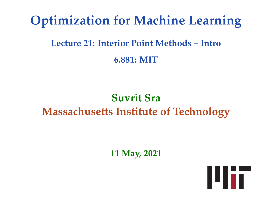# **Optimization for Machine Learning**

# **Lecture 21: Interior Point Methods – Intro 6.881: MIT**

# **Suvrit Sra Massachusetts Institute of Technology**

**11 May, 2021**

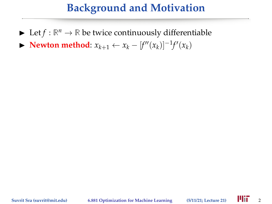- $\blacktriangleright$  Let  $f : \mathbb{R}^n \to \mathbb{R}$  be twice continuously differentiable
- ▶ **Newton method**:  $x_{k+1} \leftarrow x_k [f''(x_k)]^{-1} f'(x_k)$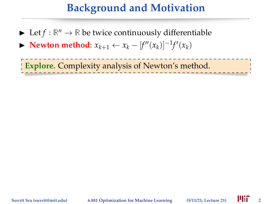- $\blacktriangleright$  Let  $f : \mathbb{R}^n \to \mathbb{R}$  be twice continuously differentiable
- ▶ **Newton method**:  $x_{k+1} \leftarrow x_k [f''(x_k)]^{-1} f'(x_k)$

**Explore.** Complexity analysis of Newton's method.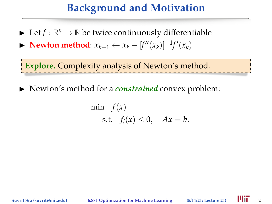- $\blacktriangleright$  Let  $f : \mathbb{R}^n \to \mathbb{R}$  be twice continuously differentiable
- ▶ **Newton method**:  $x_{k+1} \leftarrow x_k [f''(x_k)]^{-1} f'(x_k)$

**Explore.** Complexity analysis of Newton's method.

lacktriangleright Newton's method for a *constrained* convex problem:

$$
\min f(x)
$$
  
s.t.  $f_i(x) \le 0$ ,  $Ax = b$ .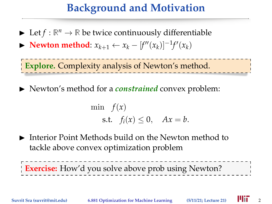- $\blacktriangleright$  Let  $f : \mathbb{R}^n \to \mathbb{R}$  be twice continuously differentiable
- ▶ **Newton method**:  $x_{k+1} \leftarrow x_k [f''(x_k)]^{-1} f'(x_k)$

**Explore.** Complexity analysis of Newton's method.

lacktriangleright Newton's method for a *constrained* convex problem:

$$
\min f(x)
$$
  
s.t.  $f_i(x) \le 0$ ,  $Ax = b$ .

 $\blacktriangleright$  Interior Point Methods build on the Newton method to tackle above convex optimization problem

**Exercise:** How'd you solve above prob using Newton?

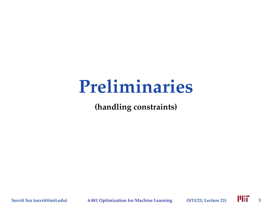# **Preliminaries**

**(handling constraints)**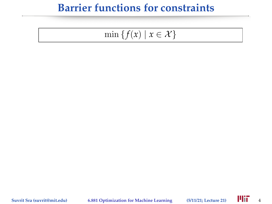$$
\min\left\{f(x) \mid x \in \mathcal{X}\right\}
$$

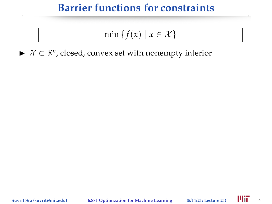$$
\min\left\{f(x) \mid x \in \mathcal{X}\right\}
$$

 $\blacktriangleright$   $\mathcal{X} \subset \mathbb{R}^n$ , closed, convex set with nonempty interior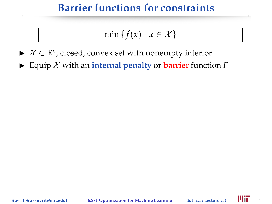$$
\min\left\{f(x) \mid x \in \mathcal{X}\right\}
$$

- $\blacktriangleright$   $\mathcal{X} \subset \mathbb{R}^n$ , closed, convex set with nonempty interior
- $\blacktriangleright$  Equip X with an **internal penalty** or **barrier** function *F*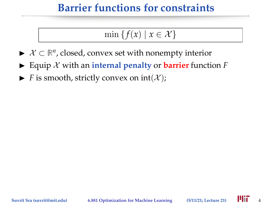$$
\min\left\{f(x) \mid x \in \mathcal{X}\right\}
$$

- $\blacktriangleright$   $\mathcal{X} \subset \mathbb{R}^n$ , closed, convex set with nonempty interior
- $\blacktriangleright$  Equip  $\chi$  with an *internal penalty* or **barrier** function  $F$
- $\blacktriangleright$  *F* is smooth, strictly convex on  $int(\mathcal{X})$ ;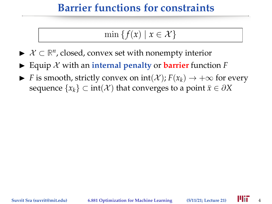$$
\min\left\{f(x) \mid x \in \mathcal{X}\right\}
$$

- $\blacktriangleright$   $\mathcal{X} \subset \mathbb{R}^n$ , closed, convex set with nonempty interior
- $\blacktriangleright$  Equip X with an **internal penalty** or **barrier** function *F*
- $\triangleright$  *F* is smooth, strictly convex on int(*X*); *F*(*x<sub>k</sub>*) → +∞ for every sequence  $\{x_k\} \subset \text{int}(\mathcal{X})$  that converges to a point  $\bar{x} \in \partial X$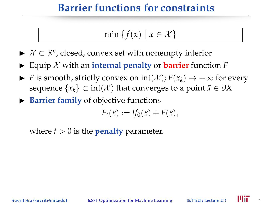$$
\min\left\{f(x) \mid x \in \mathcal{X}\right\}
$$

- $\blacktriangleright$   $\mathcal{X} \subset \mathbb{R}^n$ , closed, convex set with nonempty interior
- $\blacktriangleright$  Equip X with an **internal penalty** or **barrier** function *F*
- $\triangleright$  *F* is smooth, strictly convex on int(*X*); *F*(*x<sub>k</sub>*) → +∞ for every sequence  $\{x_k\} \subset \text{int}(\mathcal{X})$  that converges to a point  $\bar{x} \in \partial X$
- **Barrier family** of objective functions

 $F_t(x) := tf_0(x) + F(x),$ 

where  $t > 0$  is the **penalty** parameter.

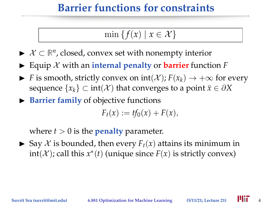$$
\min\left\{f(x) \mid x \in \mathcal{X}\right\}
$$

- $\blacktriangleright$   $\mathcal{X} \subset \mathbb{R}^n$ , closed, convex set with nonempty interior
- $\blacktriangleright$  Equip X with an **internal penalty** or **barrier** function *F*
- **►** *F* is smooth, strictly convex on  $int(\mathcal{X})$ ;  $F(x_k)$  →  $+\infty$  for every sequence  $\{x_k\} \subset \text{int}(\mathcal{X})$  that converges to a point  $\bar{x} \in \partial X$
- **Barrier family** of objective functions

 $F_{t}(x) := tf_{0}(x) + F(x),$ 

where  $t > 0$  is the **penalty** parameter.

 $\triangleright$  Say X is bounded, then every  $F_t(x)$  attains its minimum in  $int(X)$ ; call this  $x^*(t)$  (unique since  $F(x)$  is strictly convex)

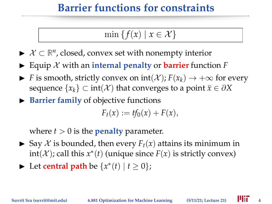$$
\min\left\{f(x) \mid x \in \mathcal{X}\right\}
$$

- $\blacktriangleright$   $\mathcal{X} \subset \mathbb{R}^n$ , closed, convex set with nonempty interior
- $\blacktriangleright$  Equip X with an **internal penalty** or **barrier** function *F*
- **►** *F* is smooth, strictly convex on  $int(\mathcal{X})$ ;  $F(x_k)$  →  $+\infty$  for every sequence  $\{x_k\} \subset \text{int}(\mathcal{X})$  that converges to a point  $\bar{x} \in \partial X$
- **Barrier family** of objective functions

 $F_{t}(x) := tf_{0}(x) + F(x),$ 

where  $t > 0$  is the **penalty** parameter.

- $\triangleright$  Say X is bounded, then every  $F_t(x)$  attains its minimum in  $int(X)$ ; call this  $x^*(t)$  (unique since  $F(x)$  is strictly convex)
- ► Let **central path** be  $\{x^*(t) | t \ge 0\}$ ;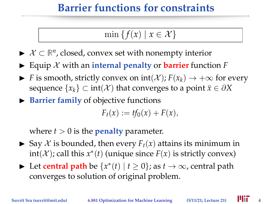$$
\min\left\{f(x) \mid x \in \mathcal{X}\right\}
$$

- $\blacktriangleright$   $\mathcal{X} \subset \mathbb{R}^n$ , closed, convex set with nonempty interior
- $\blacktriangleright$  Equip X with an **internal penalty** or **barrier** function *F*
- $\triangleright$  *F* is smooth, strictly convex on int(*X*); *F*(*x<sub>k</sub>*) → +∞ for every sequence  $\{x_k\} \subset \text{int}(\mathcal{X})$  that converges to a point  $\bar{x} \in \partial X$
- **Barrier family** of objective functions

 $F_{t}(x) := tf_{0}(x) + F(x),$ 

where  $t > 0$  is the **penalty** parameter.

- $\triangleright$  Say X is bounded, then every  $F_t(x)$  attains its minimum in  $int(X)$ ; call this  $x^*(t)$  (unique since  $F(x)$  is strictly convex)
- ► Let **central path** be  $\{x^*(t) | t \ge 0\}$ ; as  $t \to \infty$ , central path converges to solution of original problem.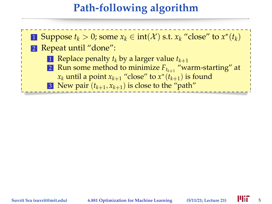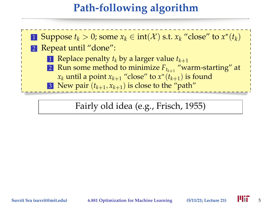

Fairly old idea (e.g., Frisch, 1955)

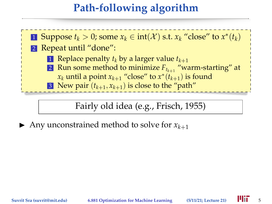

Fairly old idea (e.g., Frisch, 1955)

Any unconstrained method to solve for  $x_{k+1}$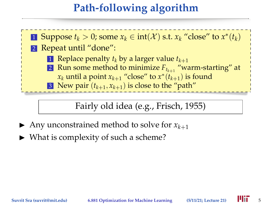

Fairly old idea (e.g., Frisch, 1955)

- Any unconstrained method to solve for  $x_{k+1}$
- $\triangleright$  What is complexity of such a scheme?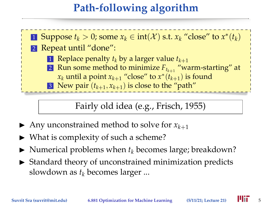

#### Fairly old idea (e.g., Frisch, 1955)

- Any unconstrained method to solve for  $x_{k+1}$
- $\triangleright$  What is complexity of such a scheme?
- $\blacktriangleright$  Numerical problems when  $t_k$  becomes large; breakdown?
- $\triangleright$  Standard theory of unconstrained minimization predicts slowdown as *t<sup>k</sup>* becomes larger ...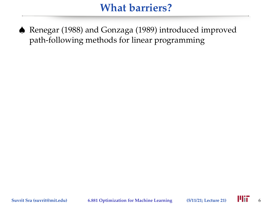♠ Renegar (1988) and Gonzaga (1989) introduced improved path-following methods for linear programming

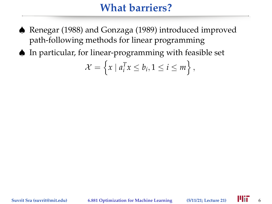- ♠ Renegar (1988) and Gonzaga (1989) introduced improved path-following methods for linear programming
- ♠ In particular, for linear-programming with feasible set

$$
\mathcal{X} = \left\{ x \mid a_i^T x \le b_i, 1 \le i \le m \right\},\
$$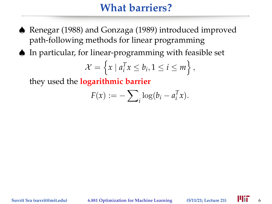- ♠ Renegar (1988) and Gonzaga (1989) introduced improved path-following methods for linear programming
- ♠ In particular, for linear-programming with feasible set

$$
\mathcal{X} = \left\{ x \mid a_i^T x \le b_i, 1 \le i \le m \right\},\
$$

they used the **logarithmic barrier**

$$
F(x) := -\sum_i \log(b_i - a_i^T x).
$$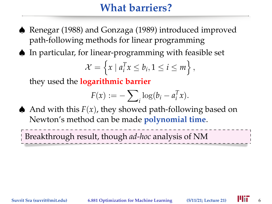- ♠ Renegar (1988) and Gonzaga (1989) introduced improved path-following methods for linear programming
- ♠ In particular, for linear-programming with feasible set

$$
\mathcal{X} = \left\{ x \mid a_i^T x \le b_i, 1 \le i \le m \right\},\
$$

they used the **logarithmic barrier**

$$
F(x) := -\sum_i \log(b_i - a_i^T x).
$$

A And with this  $F(x)$ , they showed path-following based on Newton's method can be made **polynomial time**.

Breakthrough result, though *ad-hoc* analysis of NM

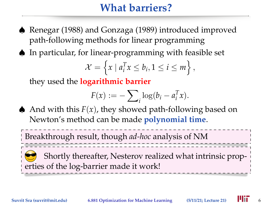- ♠ Renegar (1988) and Gonzaga (1989) introduced improved path-following methods for linear programming
- ♠ In particular, for linear-programming with feasible set

$$
\mathcal{X} = \left\{ x \mid a_i^T x \le b_i, 1 \le i \le m \right\},\
$$

they used the **logarithmic barrier**

$$
F(x) := -\sum_i \log(b_i - a_i^T x).
$$

A And with this  $F(x)$ , they showed path-following based on Newton's method can be made **polynomial time**.

Breakthrough result, though *ad-hoc* analysis of NM

Shortly thereafter, Nesterov realized what intrinsic properties of the log-barrier made it work!

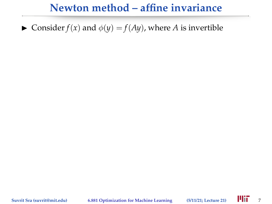#### **Newton method – affine invariance**

 $\triangleright$  Consider  $f(x)$  and  $\phi(y) = f(Ay)$ , where *A* is invertible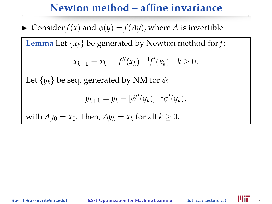#### **Newton method – affine invariance**

Consider  $f(x)$  and  $\phi(y) = f(Ay)$ , where *A* is invertible

**Lemma** Let  $\{x_k\}$  be generated by Newton method for *f*:

$$
x_{k+1} = x_k - [f''(x_k)]^{-1} f'(x_k) \quad k \ge 0.
$$

Let  $\{y_k\}$  be seq. generated by NM for  $\phi$ :

$$
y_{k+1} = y_k - [\phi''(y_k)]^{-1} \phi'(y_k),
$$

with  $Ay_0 = x_0$ . Then,  $Ay_k = x_k$  for all  $k \geq 0$ .

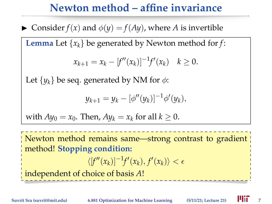#### **Newton method – affine invariance**

 $\triangleright$  Consider  $f(x)$  and  $\phi(y) = f(Ay)$ , where *A* is invertible

**Lemma** Let {*xk*} be generated by Newton method for *f*:

$$
x_{k+1} = x_k - [f''(x_k)]^{-1} f'(x_k) \quad k \ge 0.
$$

Let  $\{y_k\}$  be seq. generated by NM for  $\phi$ :

$$
y_{k+1} = y_k - [\phi''(y_k)]^{-1} \phi'(y_k),
$$

with 
$$
Ay_0 = x_0
$$
. Then,  $Ay_k = x_k$  for all  $k \ge 0$ .

Newton method remains same—strong contrast to gradient method! **Stopping condition:**  $\langle [f''(x_k)]^{-1}f'(x_k), f'(x_k) \rangle < \epsilon$ independent of choice of basis *A*!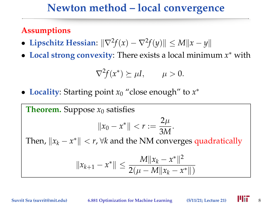#### **Assumptions**

- Lipschitz Hessian:  $\|\nabla^2 f(x) \nabla^2 f(y)\| \le M \|x y\|$
- **Local strong convexity**: There exists a local minimum *x* <sup>∗</sup> with

$$
\nabla^2 f(x^*) \succeq \mu I, \qquad \mu > 0.
$$

• **Locality**: Starting point *x*<sup>0</sup> "close enough" to *x* ∗

**Theorem.** Suppose 
$$
x_0
$$
 satisfies  
\n $||x_0 - x^*|| < r := \frac{2\mu}{3M}$ .  
\nThen,  $||x_k - x^*|| < r$ ,  $\forall k$  and the NM converges quadratically  
\n $||x_{k+1} - x^*|| \le \frac{M||x_k - x^*||^2}{2(\mu - M||x_k - x^*||)}$ 

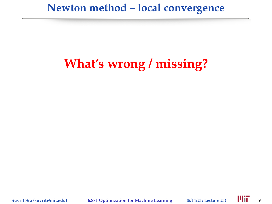# **What's wrong / missing?**

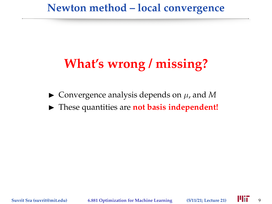# **What's wrong / missing?**

- $\triangleright$  Convergence analysis depends on  $\mu$ , and M
- **Figure 1** These quantities are **not basis independent!**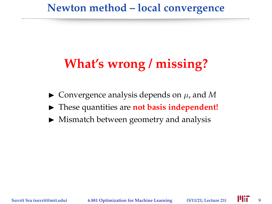# **What's wrong / missing?**

- $\triangleright$  Convergence analysis depends on  $\mu$ , and M
- **Figure 1** These quantities are **not basis independent!**
- $\blacktriangleright$  Mismatch between geometry and analysis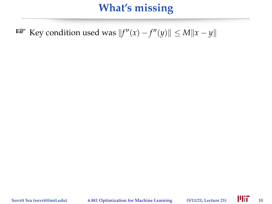**E** Key condition used was  $||f''(x) - f''(y)|| \le M||x - y||$ 

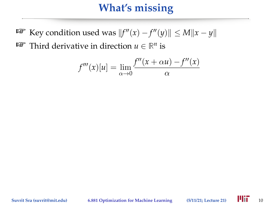**E** Key condition used was  $||f''(x) - f''(y)|| \le M||x - y||$ **<sup>IF</sup>** Third derivative in direction  $u \in \mathbb{R}^n$  is

$$
f'''(x)[u] = \lim_{\alpha \to 0} \frac{f''(x + \alpha u) - f''(x)}{\alpha}
$$

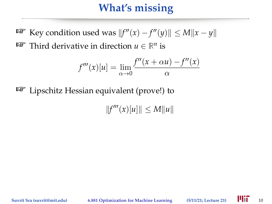**E** Key condition used was  $||f''(x) - f''(y)|| \le M||x - y||$ **<sup>IF</sup>** Third derivative in direction  $u \in \mathbb{R}^n$  is

$$
f'''(x)[u] = \lim_{\alpha \to 0} \frac{f''(x + \alpha u) - f''(x)}{\alpha}
$$

 $E^{\text{max}}$  Lipschitz Hessian equivalent (prove!) to

 $||f'''(x)[u]|| \le M||u||$ 

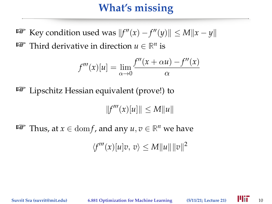**E** Key condition used was  $||f''(x) - f''(y)|| \le M||x - y||$ **<sup>IF</sup>** Third derivative in direction  $u \in \mathbb{R}^n$  is

$$
f'''(x)[u] = \lim_{\alpha \to 0} \frac{f''(x + \alpha u) - f''(x)}{\alpha}
$$

**Lipschitz Hessian equivalent (prove!) to** 

 $||f'''(x)[u]|| \le M||u||$ 

**EXECUTE:** Thus, at  $x \in \text{dom} f$ , and any  $u, v \in \mathbb{R}^n$  we have

 $\langle f'''(x)[u]v, v \rangle \leq M ||u|| ||v||^2$ 

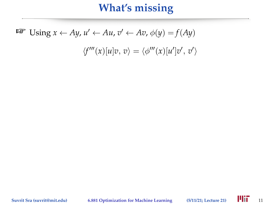$$
\text{Lip } U \text{sing } x \leftarrow Ay, u' \leftarrow Au, v' \leftarrow Av, \phi(y) = f(Ay)
$$
\n
$$
\langle f'''(x)[u]v, v \rangle = \langle \phi'''(x)[u']v', v' \rangle
$$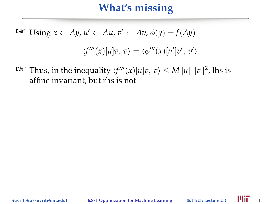$$
\text{Lip } U \text{sing } x \leftarrow Ay, u' \leftarrow Au, v' \leftarrow Av, \phi(y) = f(Ay)
$$
\n
$$
\langle f'''(x)[u]v, v \rangle = \langle \phi'''(x)[u']v', v' \rangle
$$

 $\mathbb{P}$  Thus, in the inequality  $\langle f'''(x)[u]v, v \rangle \le M \|u\| \|v\|^2$ , lhs is affine invariant, but rhs is not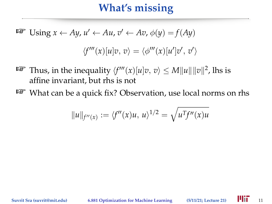$$
\text{LSP} \text{ Using } x \leftarrow Ay, u' \leftarrow Au, v' \leftarrow Av, \phi(y) = f(Ay)
$$
\n
$$
\langle f'''(x)[u]v, v \rangle = \langle \phi'''(x)[u']v', v' \rangle
$$

- $\mathbb{P}$  Thus, in the inequality  $\langle f'''(x)[u]v, v \rangle \le M \|u\| \|v\|^2$ , lhs is affine invariant, but rhs is not
- $\mathbb{F}$  What can be a quick fix? Observation, use local norms on rhs

$$
||u||_{f''(x)} := \langle f''(x)u, u \rangle^{1/2} = \sqrt{u^T f''(x)u}
$$

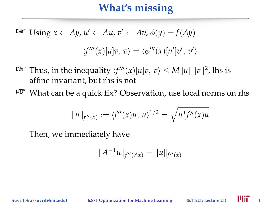$$
\text{LSP} \text{ Using } x \leftarrow Ay, u' \leftarrow Au, v' \leftarrow Av, \phi(y) = f(Ay)
$$
\n
$$
\langle f'''(x)[u]v, v \rangle = \langle \phi'''(x)[u']v', v' \rangle
$$

- $\mathbb{P}$  Thus, in the inequality  $\langle f'''(x)[u]v, v \rangle \le M \|u\| \|v\|^2$ , lhs is affine invariant, but rhs is not
- $\mathbb{F}$  What can be a quick fix? Observation, use local norms on rhs

$$
||u||_{f''(x)} := \langle f''(x)u, u \rangle^{1/2} = \sqrt{u^T f''(x)u}
$$

Then, we immediately have

$$
||A^{-1}u||_{f''(Ax)} = ||u||_{f''(x)}
$$

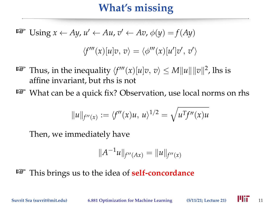$$
\text{LSP} \text{ Using } x \leftarrow Ay, u' \leftarrow Au, v' \leftarrow Av, \phi(y) = f(Ay)
$$
\n
$$
\langle f'''(x)[u]v, v \rangle = \langle \phi'''(x)[u']v', v' \rangle
$$

- $\mathbb{P}$  Thus, in the inequality  $\langle f'''(x)[u]v, v \rangle \le M \|u\| \|v\|^2$ , lhs is affine invariant, but rhs is not
- $\mathbb{R}^n$  What can be a quick fix? Observation, use local norms on rhs

$$
||u||_{f''(x)} := \langle f''(x)u, u \rangle^{1/2} = \sqrt{u^T f''(x)u}
$$

Then, we immediately have

$$
||A^{-1}u||_{f''(Ax)} = ||u||_{f''(x)}
$$

This brings us to the idea of **self-concordance**

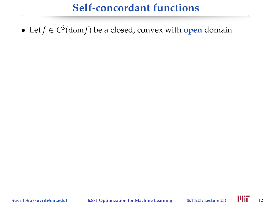• Let *f* ∈ *C* 3 (dom *f*) be a closed, convex with **open** domain

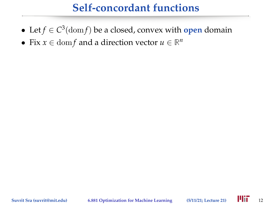- Let *f* ∈ *C* 3 (dom *f*) be a closed, convex with **open** domain
- Fix  $x \in \text{dom} f$  and a direction vector  $u \in \mathbb{R}^n$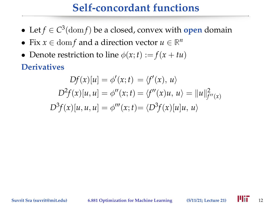- Let *f* ∈ *C* 3 (dom *f*) be a closed, convex with **open** domain
- Fix  $x \in \text{dom} f$  and a direction vector  $u \in \mathbb{R}^n$
- Denote restriction to line  $\phi(x; t) := f(x + tu)$

**Derivatives**

$$
Df(x)[u] = \phi'(x; t) = \langle f'(x), u \rangle
$$
  

$$
D^2f(x)[u, u] = \phi''(x; t) = \langle f''(x)u, u \rangle = ||u||_{f''(x)}^2
$$
  

$$
D^3f(x)[u, u, u] = \phi'''(x; t) = \langle D^3f(x)[u]u, u \rangle
$$

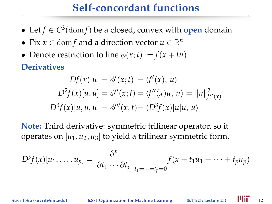- Let *f* ∈ *C* 3 (dom *f*) be a closed, convex with **open** domain
- Fix  $x \in \text{dom} f$  and a direction vector  $u \in \mathbb{R}^n$
- Denote restriction to line  $\phi(x; t) := f(x + tu)$

**Derivatives**

$$
Df(x)[u] = \phi'(x; t) = \langle f'(x), u \rangle
$$
  

$$
D^{2}f(x)[u, u] = \phi''(x; t) = \langle f''(x)u, u \rangle = ||u||_{f''(x)}^{2}
$$
  

$$
D^{3}f(x)[u, u, u] = \phi'''(x; t) = \langle D^{3}f(x)[u]u, u \rangle
$$

**Note:** Third derivative: symmetric trilinear operator, so it operates on  $[u_1, u_2, u_3]$  to yield a trilinear symmetric form.

$$
D^{p}f(x)[u_1,\ldots,u_p]=\left.\frac{\partial^{p}}{\partial t_1\cdots\partial t_p}\right|_{t_1=\cdots=t_p=0}f(x+t_1u_1+\cdots+t_pu_p)
$$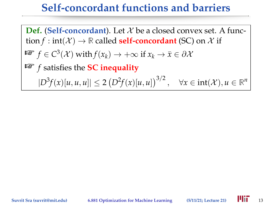#### **Self-concordant functions and barriers**

**Def.** (Self-concordant). Let  $X$  be a closed convex set. A function  $f$  : int( $\mathcal{X}$ )  $\rightarrow \mathbb{R}$  called **self-concordant** (SC) on  $\mathcal{X}$  if  $\mathbb{F} \mathbb{F} \mathbb{F} f \in C^3(\mathcal{X}) \text{ with } f(x_k) \to +\infty \text{ if } x_k \to \bar{x} \in \partial \mathcal{X}$  *f* satisfies the **SC inequality**  $|D^3 f(x)[u, u, u]| \leq 2 (D^2 f(x)[u, u])^{3/2}, \quad \forall x \in \text{int}(\mathcal{X}), u \in \mathbb{R}^n$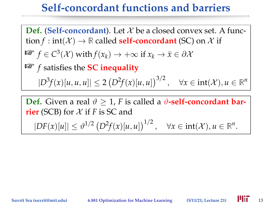#### **Self-concordant functions and barriers**

**Def.** (Self-concordant). Let  $X$  be a closed convex set. A function  $f$  : int( $\mathcal{X}$ )  $\rightarrow \mathbb{R}$  called **self-concordant** (SC) on  $\mathcal{X}$  if  $\mathbb{F} \mathbb{F} \mathbb{F} f \in C^3(\mathcal{X}) \text{ with } f(x_k) \to +\infty \text{ if } x_k \to \bar{x} \in \partial \mathcal{X}$  *f* satisfies the **SC inequality**  $|D^3 f(x)[u, u, u]| \leq 2 (D^2 f(x)[u, u])^{3/2}, \quad \forall x \in \text{int}(\mathcal{X}), u \in \mathbb{R}^n$ **Def.** Given a real  $\vartheta \geq 1$ , *F* is called a  $\vartheta$ -self-concordant bar-

**rier** (SCB) for  $X$  if  $F$  is SC and

 $|DF(x)[u]| \leq \vartheta^{1/2} (D^2f(x)[u, u])^{1/2}, \quad \forall x \in \text{int}(\mathcal{X}), u \in \mathbb{R}^n.$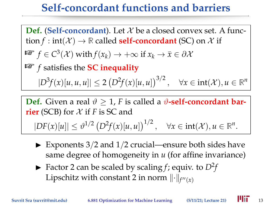#### **Self-concordant functions and barriers**

**Def.** (Self-concordant). Let  $X$  be a closed convex set. A function  $f$  : int( $\mathcal{X}$ )  $\rightarrow \mathbb{R}$  called **self-concordant** (SC) on  $\mathcal{X}$  if  $\mathbb{F} \mathbb{F} \mathbb{F} f \in C^3(\mathcal{X}) \text{ with } f(x_k) \to +\infty \text{ if } x_k \to \bar{x} \in \partial \mathcal{X}$  *f* satisfies the **SC inequality**  $|D^3 f(x)[u, u, u]| \leq 2 (D^2 f(x)[u, u])^{3/2}, \quad \forall x \in \text{int}(\mathcal{X}), u \in \mathbb{R}^n$ 

**Def.** Given a real  $\vartheta \geq 1$ , *F* is called a  $\vartheta$ -self-concordant bar**rier** (SCB) for  $X$  if  $F$  is SC and  $|DF(x)[u]| \leq \vartheta^{1/2} (D^2f(x)[u, u])^{1/2}, \quad \forall x \in \text{int}(\mathcal{X}), u \in \mathbb{R}^n.$ 

- $\blacktriangleright$  Exponents 3/2 and 1/2 crucial—ensure both sides have same degree of homogeneity in *u* (for affine invariance)
- $\blacktriangleright$  Factor 2 can be scaled by scaling *f*; equiv. to  $D^2 f$ Lipschitz with constant 2 in norm  $\lVert \cdot \rVert_{f''(x)}$

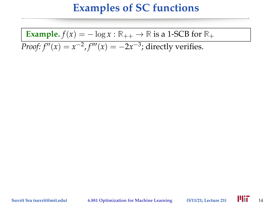#### **Examples of SC functions**

**Example.**  $f(x) = -\log x : \mathbb{R}_{++} \to \mathbb{R}$  is a 1-SCB for  $\mathbb{R}_+$ 

*Proof:*  $f''(x) = x^{-2}$ ,  $f'''(x) = -2x^{-3}$ ; directly verifies.

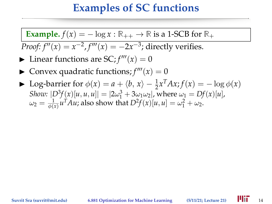#### **Examples of SC functions**

**Example.**  $f(x) = -\log x : \mathbb{R}_{++} \to \mathbb{R}$  is a 1-SCB for  $\mathbb{R}_+$ 

*Proof:*  $f''(x) = x^{-2}$ ,  $f'''(x) = -2x^{-3}$ ; directly verifies.

- $\blacktriangleright$  Linear functions are SC;  $f'''(x) = 0$
- $\blacktriangleright$  Convex quadratic functions;  $f'''(x) = 0$
- ► Log-barrier for  $\phi(x) = a + \langle b, x \rangle \frac{1}{2}x^T A x$ ;  $f(x) = -\log \phi(x)$ *Show:*  $|D^3 f(x)|u, u, u|| = |2\omega_1^3 + 3\omega_1\omega_2|$ , where  $\omega_1 = Df(x)[u]$ ,  $\omega_2 = \frac{1}{\phi(x)} u^T A u$ ; also show that  $D^2 f(x)[u,u] = \omega_1^2 + \omega_2$ .

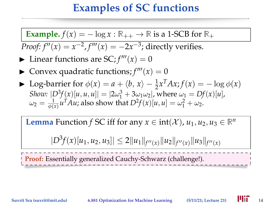#### **Examples of SC functions**

**Example.**  $f(x) = -\log x : \mathbb{R}_{++} \to \mathbb{R}$  is a 1-SCB for  $\mathbb{R}_+$ 

*Proof:*  $f''(x) = x^{-2}$ ,  $f'''(x) = -2x^{-3}$ ; directly verifies.

- $\blacktriangleright$  Linear functions are SC;  $f'''(x) = 0$
- $\blacktriangleright$  Convex quadratic functions;  $f'''(x) = 0$
- ► Log-barrier for  $\phi(x) = a + \langle b, x \rangle \frac{1}{2}x^T A x$ ;  $f(x) = -\log \phi(x)$ *Show:*  $[D^3 f(x)[u, u, u]] = |2\omega_1^3 + 3\omega_1\omega_2|$ , where  $\omega_1 = Df(x)[u]$ ,  $\omega_2 = \frac{1}{\phi(x)} u^T A u$ ; also show that  $D^2 f(x)[u,u] = \omega_1^2 + \omega_2$ .

**Lemma** Function *f* SC iff for any  $x \in \text{int}(\mathcal{X})$ ,  $u_1, u_2, u_3 \in \mathbb{R}^n$ 

 $|D^3 f(x)[u_1, u_2, u_3]| \leq 2||u_1||_{f''(x)}||u_2||_{f''(x)}||u_3||_{f''(x)}$ 

**Proof:** Essentially generalized Cauchy-Schwarz (challenge!).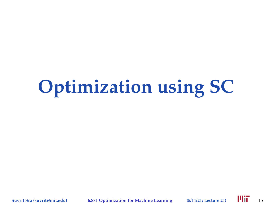# **Optimization using SC**

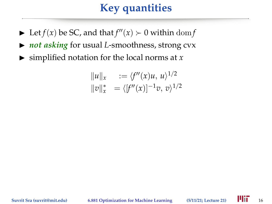## **Key quantities**

- $\blacktriangleright$  Let *f*(*x*) be SC, and that  $f''(x) \succ 0$  within dom *f*
- ▶ *not asking* for usual *L*-smoothness, strong cvx
- $\blacktriangleright$  simplified notation for the local norms at *x*

$$
||u||_x := \langle f''(x)u, u \rangle^{1/2}
$$
  
 
$$
||v||_x^* = \langle [f''(x)]^{-1}v, v \rangle^{1/2}
$$

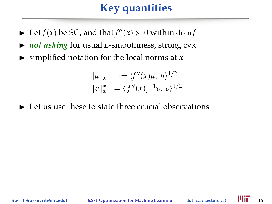## **Key quantities**

- $\blacktriangleright$  Let *f*(*x*) be SC, and that  $f''(x) \succ 0$  within dom *f*
- ▶ *not asking* for usual *L*-smoothness, strong cvx
- $\blacktriangleright$  simplified notation for the local norms at *x*

$$
||u||_x := \langle f''(x)u, u \rangle^{1/2}
$$
  
 
$$
||v||_x^* = \langle [f''(x)]^{-1}v, v \rangle^{1/2}
$$

 $\blacktriangleright$  Let us use these to state three crucial observations

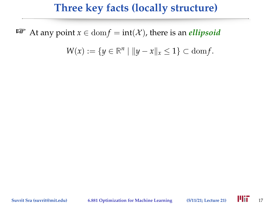#### **Three key facts (locally structure)**

**■** At any point  $x \in \text{dom } f = \text{int}(\mathcal{X})$ , there is an *ellipsoid* 

 $W(x) := \{ y \in \mathbb{R}^n \mid ||y - x||_x \le 1 \} \subset \text{dom} f.$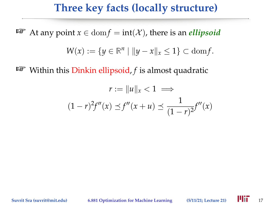#### **Three key facts (locally structure)**

**■** At any point  $x \in \text{dom } f = \text{int}(\mathcal{X})$ , there is an *ellipsoid* 

$$
W(x) := \{ y \in \mathbb{R}^n \mid ||y - x||_x \le 1 \} \subset \text{dom} f.
$$

 $^{\text{ISP}}$  Within this Dinkin ellipsoid, *f* is almost quadratic

$$
r := \|u\|_{x} < 1 \implies
$$
  

$$
(1 - r)^{2} f''(x) \preceq f''(x + u) \preceq \frac{1}{(1 - r)^{2}} f''(x)
$$

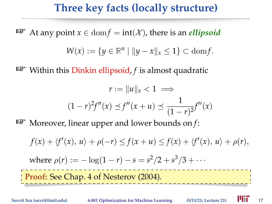#### **Three key facts (locally structure)**

**■** At any point  $x \in \text{dom } f = \text{int}(\mathcal{X})$ , there is an *ellipsoid* 

$$
W(x) := \{ y \in \mathbb{R}^n \mid ||y - x||_x \le 1 \} \subset \text{dom} f.
$$

**EXECUTE:** Within this Dinkin ellipsoid, *f* is almost quadratic

$$
r := \|u\|_{x} < 1 \implies
$$
  

$$
(1 - r)^{2} f''(x) \preceq f''(x + u) \preceq \frac{1}{(1 - r)^{2}} f''(x)
$$

**EXECUTE:** Moreover, linear upper and lower bounds on *f*:

 $f(x) + \langle f'(x), u \rangle + \rho(-r) \le f(x + u) \le f(x) + \langle f'(x), u \rangle + \rho(r)$ , where  $\rho(r) := -\log(1-r) - s = s^2/2 + s^3/3 + \cdots$ **Proof:** See Chap. 4 of Nesterov (2004).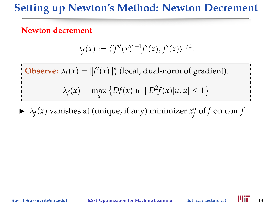#### **Setting up Newton's Method: Newton Decrement**

#### **Newton decrement**

$$
\lambda_f(x) := \langle [f''(x)]^{-1} f'(x), f'(x) \rangle^{1/2}.
$$

**Observe:**  $\lambda_f(x) = ||f'(x)||_x^*$  (local, dual-norm of gradient).

$$
\lambda_f(x) = \max_{u} \left\{ Df(x)[u] \mid D^2f(x)[u, u] \le 1 \right\}
$$

 $\blacktriangleright \lambda_f(x)$  vanishes at (unique, if any) minimizer  $x_f^*$  $_{f}^{\ast}$  of  $f$  on  $\mathrm{dom} f$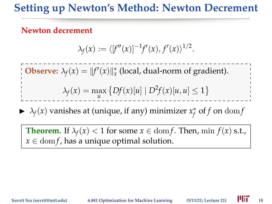#### **Setting up Newton's Method: Newton Decrement**

#### **Newton decrement**

$$
\lambda_f(x) := \langle [f''(x)]^{-1} f'(x), f'(x) \rangle^{1/2}.
$$

**Observe:**  $\lambda_f(x) = ||f'(x)||_x^*$  (local, dual-norm of gradient).

$$
\lambda_f(x) = \max_{u} \left\{ Df(x)[u] \mid D^2f(x)[u, u] \le 1 \right\}
$$

 $\blacktriangleright \lambda_f(x)$  vanishes at (unique, if any) minimizer  $x_f^*$  $_{f}^{\ast}$  of  $f$  on  $\mathrm{dom} f$ 

**Theorem.** If  $\lambda_f(x) < 1$  for some  $x \in \text{dom } f$ . Then, min  $f(x)$  s.t.,  $x \in \text{dom } f$ , has a unique optimal solution.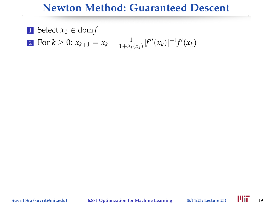#### **Newton Method: Guaranteed Descent**

1 Select  $x_0 \in \text{dom } f$  $2 \text{ For } k \geq 0 \text{: } x_{k+1} = x_k - \frac{1}{1 + \lambda_f(x_k)} [f''(x_k)]^{-1} f'(x_k)$ 

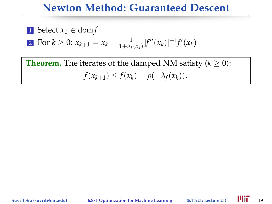#### **Newton Method: Guaranteed Descent**

I Select 
$$
x_0 \in \text{dom} f
$$

2 For 
$$
k \ge 0
$$
:  $x_{k+1} = x_k - \frac{1}{1 + \lambda_f(x_k)} [f''(x_k)]^{-1} f'(x_k)$ 

**Theorem.** The iterates of the damped NM satisfy  $(k \geq 0)$ :  $f(x_{k+1}) \leq f(x_k) - \rho(-\lambda_f(x_k)).$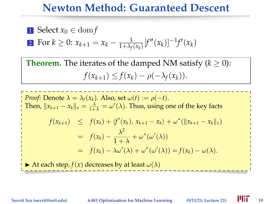#### **Newton Method: Guaranteed Descent**

**1** Select 
$$
x_0 \in \text{dom} f
$$

2 For 
$$
k \ge 0
$$
:  $x_{k+1} = x_k - \frac{1}{1 + \lambda_f(x_k)} [f''(x_k)]^{-1} f'(x_k)$ 

**Theorem.** The iterates of the damped NM satisfy  $(k \geq 0)$ :  $f(x_{k+1}) \leq f(x_k) - \rho(-\lambda_f(x_k)).$ 

*Proof:* Denote  $\lambda = \lambda_f(x_k)$ . Also, set  $\omega(t) := \rho(-t)$ . Then,  $||x_{k+1} - x_k||_x = \frac{\lambda}{1+\lambda} = \omega'(\lambda)$ . Thus, using one of the key facts  $f(x_{k+1}) \leq f(x_k) + \langle f'(x_k), x_{k+1} - x_k \rangle + \omega^* (\|x_{k+1} - x_k\|_x)$  $= f(x_k) - \frac{\lambda^2}{1+k}$  $\frac{\lambda}{1 + \lambda} + \omega^*(\omega'(\lambda))$  $= f(x_k) - \lambda \omega'(\lambda) + \omega^*(\omega'(\lambda)) = f(x_k) - \omega(\lambda).$ At each step,  $f(x)$  decreases by at least  $\omega(\lambda)$ 

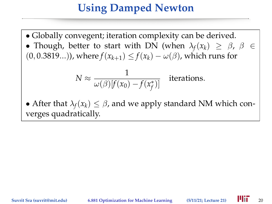#### **Using Damped Newton**

- Globally convegent; iteration complexity can be derived.
- Though, better to start with DN (when  $\lambda_f(x_k) \geq \beta$ ,  $\beta \in$  $(0, 0.3819...)$ , where  $f(x_{k+1}) \leq f(x_k) - \omega(\beta)$ , which runs for

$$
N \approx \frac{1}{\omega(\beta)[f(x_0) - f(x_f^*)]} \quad \text{iterations.}
$$

• After that  $\lambda_f(x_k) \leq \beta$ , and we apply standard NM which converges quadratically.

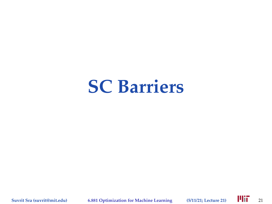## **SC Barriers**

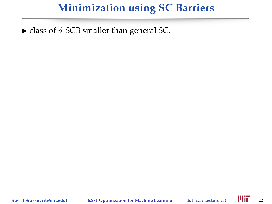$\triangleright$  class of  $\vartheta$ -SCB smaller than general SC.

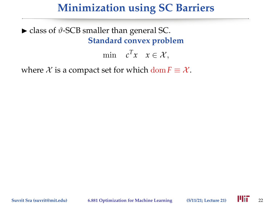$\triangleright$  class of  $\vartheta$ -SCB smaller than general SC. **Standard convex problem**

min  $c^T x \quad x \in \mathcal{X},$ 

where  $X$  is a compact set for which dom  $F \equiv X$ .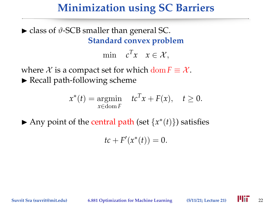$\triangleright$  class of  $\vartheta$ -SCB smaller than general SC. **Standard convex problem**

min  $c^T x \quad x \in \mathcal{X},$ 

where  $X$  is a compact set for which dom  $F \equiv X$ .  $\blacktriangleright$  Recall path-following scheme

$$
x^*(t) = \underset{x \in \text{dom } F}{\text{argmin}} \quad t c^T x + F(x), \quad t \ge 0.
$$

Any point of the central path (set  ${x*(t)}$ ) satisfies

 $tc + F'(x^*(t)) = 0.$ 

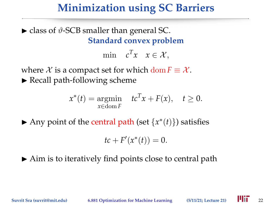$\triangleright$  class of  $\vartheta$ -SCB smaller than general SC. **Standard convex problem**

min  $c^T x \quad x \in \mathcal{X},$ 

where  $X$  is a compact set for which dom  $F \equiv X$ .  $\blacktriangleright$  Recall path-following scheme

$$
x^*(t) = \underset{x \in \text{dom } F}{\text{argmin}} \quad t c^T x + F(x), \quad t \ge 0.
$$

Any point of the central path (set  ${x*(t)}$ ) satisfies

$$
tc + F'(x^*(t)) = 0.
$$

 $\triangleright$  Aim is to iteratively find points close to central path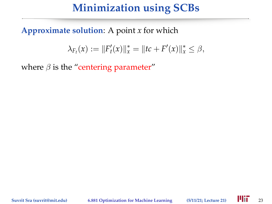#### **Minimization using SCBs**

#### **Approximate solution**: A point *x* for which

$$
\lambda_{F_t}(x) := ||F'_t(x)||_x^* = ||tc + F'(x)||_x^* \leq \beta,
$$

where  $\beta$  is the "centering parameter"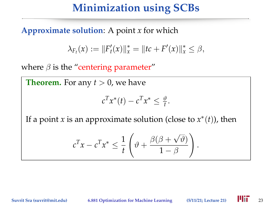#### **Minimization using SCBs**

#### **Approximate solution**: A point *x* for which

$$
\lambda_{F_t}(x) := ||F'_t(x)||_x^* = ||tc + F'(x)||_x^* \leq \beta,
$$

where  $\beta$  is the "centering parameter"

**Theorem.** For any  $t > 0$ , we have

$$
c^T x^*(t) - c^T x^* \le \frac{\vartheta}{t}.
$$

If a point *x* is an approximate solution (close to  $x^*(t)$ ), then

$$
c^{T}x - c^{T}x^{*} \leq \frac{1}{t} \left(\vartheta + \frac{\beta(\beta + \sqrt{\vartheta})}{1 - \beta}\right).
$$

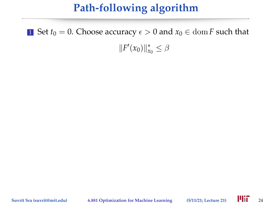## **Path-following algorithm**

1 Set  $t_0 = 0$ . Choose accuracy  $\epsilon > 0$  and  $x_0 \in \text{dom } F$  such that

 $||F'(x_0)||_{x_0}^* \leq \beta$ 

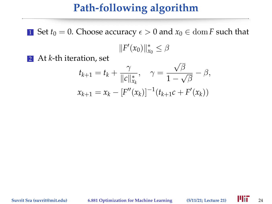#### **Path-following algorithm**

1 Set  $t_0 = 0$ . Choose accuracy  $\epsilon > 0$  and  $x_0 \in \text{dom } F$  such that

 $||F'(x_0)||_{x_0}^* \leq \beta$ 

2 At *k*-th iteration, set

$$
t_{k+1} = t_k + \frac{\gamma}{\|c\|_{x_k}^*}, \quad \gamma = \frac{\sqrt{\beta}}{1 - \sqrt{\beta}} - \beta,
$$
  

$$
x_{k+1} = x_k - [F''(x_k)]^{-1} (t_{k+1}c + F'(x_k))
$$

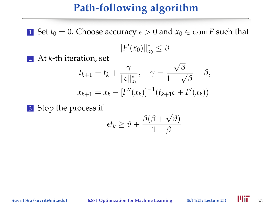# **Path-following algorithm**

1 Set  $t_0 = 0$ . Choose accuracy  $\epsilon > 0$  and  $x_0 \in \text{dom } F$  such that

 $||F'(x_0)||_{x_0}^* \leq \beta$ 

2 At *k*-th iteration, set

$$
t_{k+1} = t_k + \frac{\gamma}{\|c\|_{x_k}^*}, \quad \gamma = \frac{\sqrt{\beta}}{1 - \sqrt{\beta}} - \beta,
$$
  

$$
x_{k+1} = x_k - [F''(x_k)]^{-1} (t_{k+1}c + F'(x_k))
$$

3 Stop the process if

$$
\epsilon t_k \geq \vartheta + \frac{\beta(\beta + \sqrt{\vartheta})}{1 - \beta}
$$

**Suvrit Sra (suvrit@mit.edu) 6.881 Optimization for Machine Learning (5/11/21; Lecture 21)** 24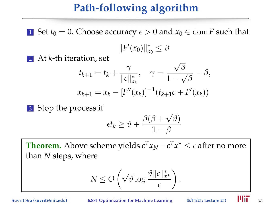# **Path-following algorithm**

1 Set  $t_0 = 0$ . Choose accuracy  $\epsilon > 0$  and  $x_0 \in \text{dom } F$  such that

 $||F'(x_0)||_{x_0}^* \leq \beta$ 

2 At *k*-th iteration, set

$$
t_{k+1} = t_k + \frac{\gamma}{\|c\|_{x_k}^*}, \quad \gamma = \frac{\sqrt{\beta}}{1 - \sqrt{\beta}} - \beta,
$$
  

$$
x_{k+1} = x_k - [F''(x_k)]^{-1} (t_{k+1}c + F'(x_k))
$$

3 Stop the process if

$$
\epsilon t_k \geq \vartheta + \frac{\beta(\beta + \sqrt{\vartheta})}{1 - \beta}
$$

**Theorem.** Above scheme yields  $c^T x_N - c^T x^* \leq \epsilon$  after no more than *N* steps, where

$$
N \leq O\left(\sqrt{\vartheta} \log \frac{\vartheta \|c\|_{x^*}^*}{\epsilon}\right)
$$

.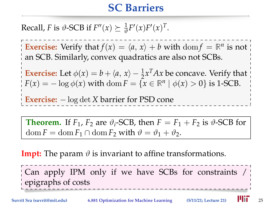# **SC Barriers**

Recall, *F* is  $\vartheta$ -SCB if  $F''(x) \succeq \frac{1}{\vartheta} F'(x) F'(x)^T$ .

**Exercise:** Verify that  $f(x) = \langle a, x \rangle + b$  with dom  $f = \mathbb{R}^n$  is not an SCB. Similarly, convex quadratics are also not SCBs.

**Exercise:** Let  $\phi(x) = b + \langle a, x \rangle - \frac{1}{2}x^T A x$  be concave. Verify that *F*(*x*) =  $-\log \phi(x)$  with dom *F* = {*x* ∈  $\mathbb{R}^n \mid \phi(x) > 0$ } is 1-SCB.

**Exercise:** − log det *X* barrier for PSD cone

**Theorem.** If  $F_1$ ,  $F_2$  are  $\vartheta_i$ -SCB, then  $F = F_1 + F_2$  is  $\vartheta$ -SCB for  $\text{dom } F = \text{dom } F_1 \cap \text{dom } F_2$  with  $\vartheta = \vartheta_1 + \vartheta_2$ .

**Impt:** The param  $\vartheta$  is invariant to affine transformations.

Can apply IPM only if we have SCBs for constraints / epigraphs of costs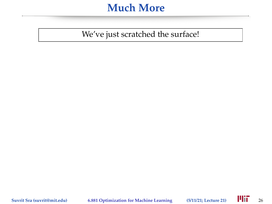#### **Much More**

We've just scratched the surface!

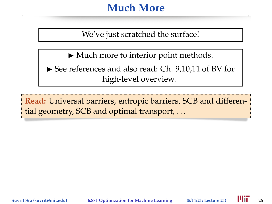### **Much More**

We've just scratched the surface!

- $\blacktriangleright$  Much more to interior point methods.
- ▶ See references and also read: Ch. 9,10,11 of BV for high-level overview.

**Read:** Universal barriers, entropic barriers, SCB and differential geometry, SCB and optimal transport, ...